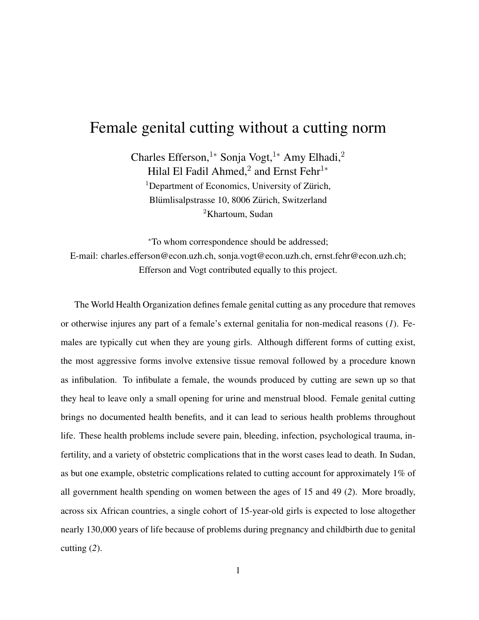## Female genital cutting without a cutting norm

Charles Efferson,<sup>1</sup>\* Sonja Vogt,<sup>1</sup>\* Amy Elhadi,<sup>2</sup> Hilal El Fadil Ahmed,<sup>2</sup> and Ernst Fehr<sup>1\*</sup> <sup>1</sup>Department of Economics, University of Zürich, Blümlisalpstrasse 10, 8006 Zürich, Switzerland <sup>2</sup>Khartoum, Sudan

<sup>∗</sup>To whom correspondence should be addressed; E-mail: charles.efferson@econ.uzh.ch, sonja.vogt@econ.uzh.ch, ernst.fehr@econ.uzh.ch; Efferson and Vogt contributed equally to this project.

The World Health Organization defines female genital cutting as any procedure that removes or otherwise injures any part of a female's external genitalia for non-medical reasons (*1*). Females are typically cut when they are young girls. Although different forms of cutting exist, the most aggressive forms involve extensive tissue removal followed by a procedure known as infibulation. To infibulate a female, the wounds produced by cutting are sewn up so that they heal to leave only a small opening for urine and menstrual blood. Female genital cutting brings no documented health benefits, and it can lead to serious health problems throughout life. These health problems include severe pain, bleeding, infection, psychological trauma, infertility, and a variety of obstetric complications that in the worst cases lead to death. In Sudan, as but one example, obstetric complications related to cutting account for approximately 1% of all government health spending on women between the ages of 15 and 49 (*2*). More broadly, across six African countries, a single cohort of 15-year-old girls is expected to lose altogether nearly 130,000 years of life because of problems during pregnancy and childbirth due to genital cutting (*2*).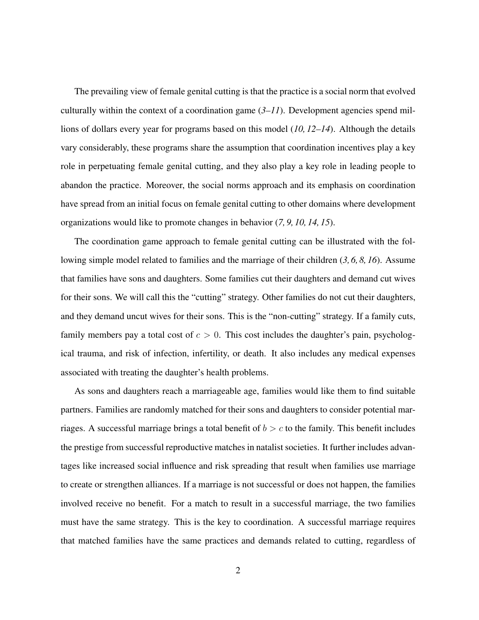The prevailing view of female genital cutting is that the practice is a social norm that evolved culturally within the context of a coordination game  $(3–11)$ . Development agencies spend millions of dollars every year for programs based on this model (*10, 12–14*). Although the details vary considerably, these programs share the assumption that coordination incentives play a key role in perpetuating female genital cutting, and they also play a key role in leading people to abandon the practice. Moreover, the social norms approach and its emphasis on coordination have spread from an initial focus on female genital cutting to other domains where development organizations would like to promote changes in behavior (*7, 9, 10, 14, 15*).

The coordination game approach to female genital cutting can be illustrated with the following simple model related to families and the marriage of their children (*3, 6, 8, 16*). Assume that families have sons and daughters. Some families cut their daughters and demand cut wives for their sons. We will call this the "cutting" strategy. Other families do not cut their daughters, and they demand uncut wives for their sons. This is the "non-cutting" strategy. If a family cuts, family members pay a total cost of  $c > 0$ . This cost includes the daughter's pain, psychological trauma, and risk of infection, infertility, or death. It also includes any medical expenses associated with treating the daughter's health problems.

As sons and daughters reach a marriageable age, families would like them to find suitable partners. Families are randomly matched for their sons and daughters to consider potential marriages. A successful marriage brings a total benefit of  $b > c$  to the family. This benefit includes the prestige from successful reproductive matches in natalist societies. It further includes advantages like increased social influence and risk spreading that result when families use marriage to create or strengthen alliances. If a marriage is not successful or does not happen, the families involved receive no benefit. For a match to result in a successful marriage, the two families must have the same strategy. This is the key to coordination. A successful marriage requires that matched families have the same practices and demands related to cutting, regardless of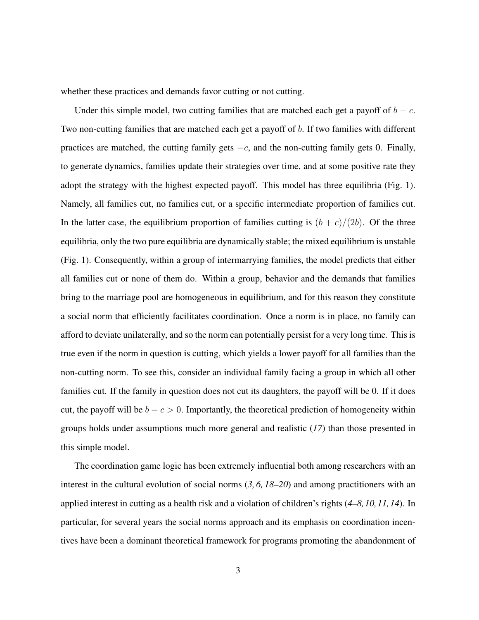whether these practices and demands favor cutting or not cutting.

Under this simple model, two cutting families that are matched each get a payoff of  $b - c$ . Two non-cutting families that are matched each get a payoff of b. If two families with different practices are matched, the cutting family gets  $-c$ , and the non-cutting family gets 0. Finally, to generate dynamics, families update their strategies over time, and at some positive rate they adopt the strategy with the highest expected payoff. This model has three equilibria (Fig. 1). Namely, all families cut, no families cut, or a specific intermediate proportion of families cut. In the latter case, the equilibrium proportion of families cutting is  $(b + c)/(2b)$ . Of the three equilibria, only the two pure equilibria are dynamically stable; the mixed equilibrium is unstable (Fig. 1). Consequently, within a group of intermarrying families, the model predicts that either all families cut or none of them do. Within a group, behavior and the demands that families bring to the marriage pool are homogeneous in equilibrium, and for this reason they constitute a social norm that efficiently facilitates coordination. Once a norm is in place, no family can afford to deviate unilaterally, and so the norm can potentially persist for a very long time. This is true even if the norm in question is cutting, which yields a lower payoff for all families than the non-cutting norm. To see this, consider an individual family facing a group in which all other families cut. If the family in question does not cut its daughters, the payoff will be 0. If it does cut, the payoff will be  $b - c > 0$ . Importantly, the theoretical prediction of homogeneity within groups holds under assumptions much more general and realistic (*17*) than those presented in this simple model.

The coordination game logic has been extremely influential both among researchers with an interest in the cultural evolution of social norms (*3, 6, 18–20*) and among practitioners with an applied interest in cutting as a health risk and a violation of children's rights (*4–8,10,11,14*). In particular, for several years the social norms approach and its emphasis on coordination incentives have been a dominant theoretical framework for programs promoting the abandonment of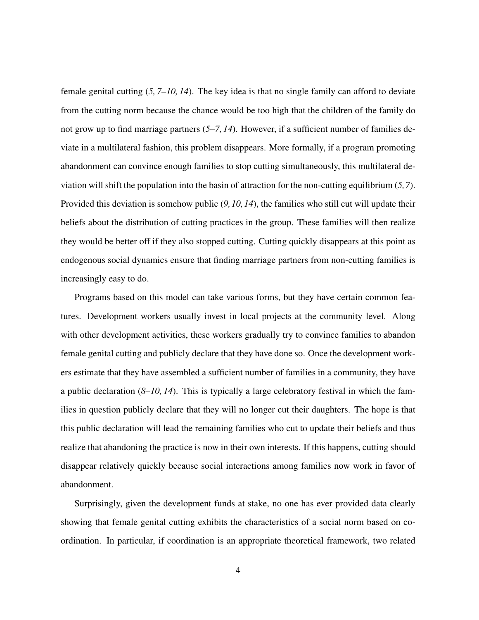female genital cutting (*5, 7–10, 14*). The key idea is that no single family can afford to deviate from the cutting norm because the chance would be too high that the children of the family do not grow up to find marriage partners (*5–7, 14*). However, if a sufficient number of families deviate in a multilateral fashion, this problem disappears. More formally, if a program promoting abandonment can convince enough families to stop cutting simultaneously, this multilateral deviation will shift the population into the basin of attraction for the non-cutting equilibrium (*5,7*). Provided this deviation is somehow public (*9,10,14*), the families who still cut will update their beliefs about the distribution of cutting practices in the group. These families will then realize they would be better off if they also stopped cutting. Cutting quickly disappears at this point as endogenous social dynamics ensure that finding marriage partners from non-cutting families is increasingly easy to do.

Programs based on this model can take various forms, but they have certain common features. Development workers usually invest in local projects at the community level. Along with other development activities, these workers gradually try to convince families to abandon female genital cutting and publicly declare that they have done so. Once the development workers estimate that they have assembled a sufficient number of families in a community, they have a public declaration (*8–10, 14*). This is typically a large celebratory festival in which the families in question publicly declare that they will no longer cut their daughters. The hope is that this public declaration will lead the remaining families who cut to update their beliefs and thus realize that abandoning the practice is now in their own interests. If this happens, cutting should disappear relatively quickly because social interactions among families now work in favor of abandonment.

Surprisingly, given the development funds at stake, no one has ever provided data clearly showing that female genital cutting exhibits the characteristics of a social norm based on coordination. In particular, if coordination is an appropriate theoretical framework, two related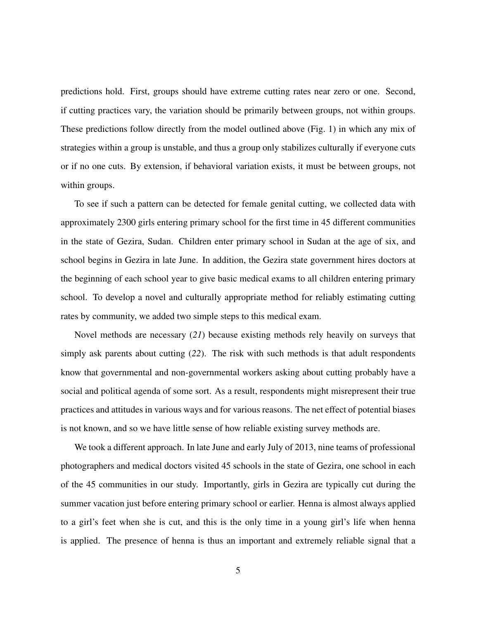predictions hold. First, groups should have extreme cutting rates near zero or one. Second, if cutting practices vary, the variation should be primarily between groups, not within groups. These predictions follow directly from the model outlined above (Fig. 1) in which any mix of strategies within a group is unstable, and thus a group only stabilizes culturally if everyone cuts or if no one cuts. By extension, if behavioral variation exists, it must be between groups, not within groups.

To see if such a pattern can be detected for female genital cutting, we collected data with approximately 2300 girls entering primary school for the first time in 45 different communities in the state of Gezira, Sudan. Children enter primary school in Sudan at the age of six, and school begins in Gezira in late June. In addition, the Gezira state government hires doctors at the beginning of each school year to give basic medical exams to all children entering primary school. To develop a novel and culturally appropriate method for reliably estimating cutting rates by community, we added two simple steps to this medical exam.

Novel methods are necessary (*21*) because existing methods rely heavily on surveys that simply ask parents about cutting (*22*). The risk with such methods is that adult respondents know that governmental and non-governmental workers asking about cutting probably have a social and political agenda of some sort. As a result, respondents might misrepresent their true practices and attitudes in various ways and for various reasons. The net effect of potential biases is not known, and so we have little sense of how reliable existing survey methods are.

We took a different approach. In late June and early July of 2013, nine teams of professional photographers and medical doctors visited 45 schools in the state of Gezira, one school in each of the 45 communities in our study. Importantly, girls in Gezira are typically cut during the summer vacation just before entering primary school or earlier. Henna is almost always applied to a girl's feet when she is cut, and this is the only time in a young girl's life when henna is applied. The presence of henna is thus an important and extremely reliable signal that a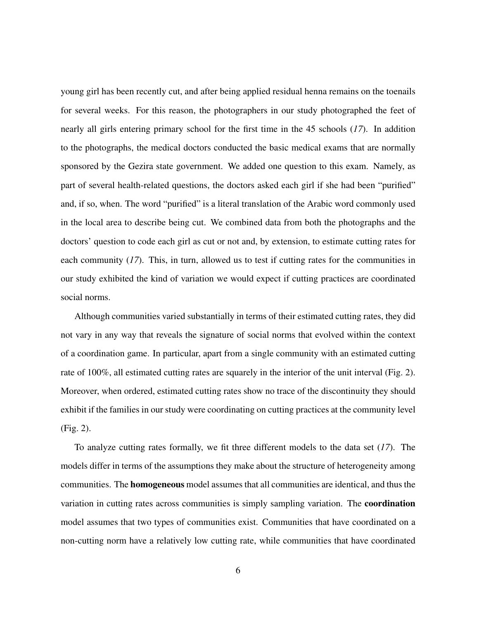young girl has been recently cut, and after being applied residual henna remains on the toenails for several weeks. For this reason, the photographers in our study photographed the feet of nearly all girls entering primary school for the first time in the 45 schools (*17*). In addition to the photographs, the medical doctors conducted the basic medical exams that are normally sponsored by the Gezira state government. We added one question to this exam. Namely, as part of several health-related questions, the doctors asked each girl if she had been "purified" and, if so, when. The word "purified" is a literal translation of the Arabic word commonly used in the local area to describe being cut. We combined data from both the photographs and the doctors' question to code each girl as cut or not and, by extension, to estimate cutting rates for each community (*17*). This, in turn, allowed us to test if cutting rates for the communities in our study exhibited the kind of variation we would expect if cutting practices are coordinated social norms.

Although communities varied substantially in terms of their estimated cutting rates, they did not vary in any way that reveals the signature of social norms that evolved within the context of a coordination game. In particular, apart from a single community with an estimated cutting rate of 100%, all estimated cutting rates are squarely in the interior of the unit interval (Fig. 2). Moreover, when ordered, estimated cutting rates show no trace of the discontinuity they should exhibit if the families in our study were coordinating on cutting practices at the community level (Fig. 2).

To analyze cutting rates formally, we fit three different models to the data set (*17*). The models differ in terms of the assumptions they make about the structure of heterogeneity among communities. The homogeneous model assumes that all communities are identical, and thus the variation in cutting rates across communities is simply sampling variation. The coordination model assumes that two types of communities exist. Communities that have coordinated on a non-cutting norm have a relatively low cutting rate, while communities that have coordinated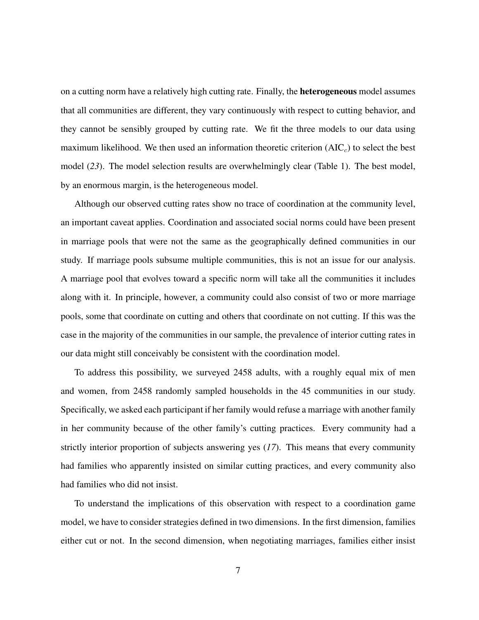on a cutting norm have a relatively high cutting rate. Finally, the heterogeneous model assumes that all communities are different, they vary continuously with respect to cutting behavior, and they cannot be sensibly grouped by cutting rate. We fit the three models to our data using maximum likelihood. We then used an information theoretic criterion  $(AIC<sub>c</sub>)$  to select the best model (*23*). The model selection results are overwhelmingly clear (Table 1). The best model, by an enormous margin, is the heterogeneous model.

Although our observed cutting rates show no trace of coordination at the community level, an important caveat applies. Coordination and associated social norms could have been present in marriage pools that were not the same as the geographically defined communities in our study. If marriage pools subsume multiple communities, this is not an issue for our analysis. A marriage pool that evolves toward a specific norm will take all the communities it includes along with it. In principle, however, a community could also consist of two or more marriage pools, some that coordinate on cutting and others that coordinate on not cutting. If this was the case in the majority of the communities in our sample, the prevalence of interior cutting rates in our data might still conceivably be consistent with the coordination model.

To address this possibility, we surveyed 2458 adults, with a roughly equal mix of men and women, from 2458 randomly sampled households in the 45 communities in our study. Specifically, we asked each participant if her family would refuse a marriage with another family in her community because of the other family's cutting practices. Every community had a strictly interior proportion of subjects answering yes (*17*). This means that every community had families who apparently insisted on similar cutting practices, and every community also had families who did not insist.

To understand the implications of this observation with respect to a coordination game model, we have to consider strategies defined in two dimensions. In the first dimension, families either cut or not. In the second dimension, when negotiating marriages, families either insist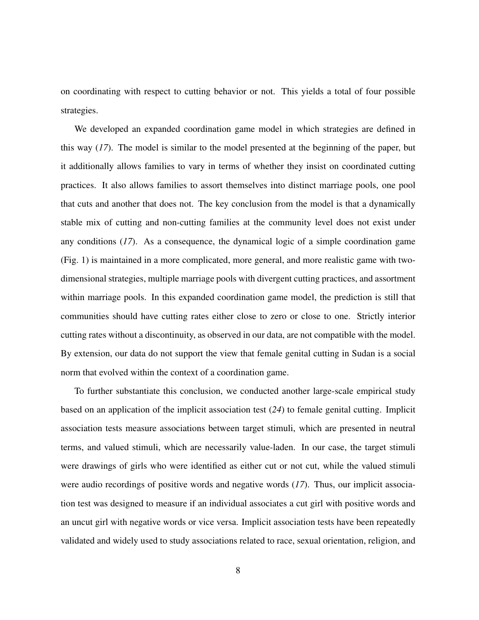on coordinating with respect to cutting behavior or not. This yields a total of four possible strategies.

We developed an expanded coordination game model in which strategies are defined in this way (*17*). The model is similar to the model presented at the beginning of the paper, but it additionally allows families to vary in terms of whether they insist on coordinated cutting practices. It also allows families to assort themselves into distinct marriage pools, one pool that cuts and another that does not. The key conclusion from the model is that a dynamically stable mix of cutting and non-cutting families at the community level does not exist under any conditions (*17*). As a consequence, the dynamical logic of a simple coordination game (Fig. 1) is maintained in a more complicated, more general, and more realistic game with twodimensional strategies, multiple marriage pools with divergent cutting practices, and assortment within marriage pools. In this expanded coordination game model, the prediction is still that communities should have cutting rates either close to zero or close to one. Strictly interior cutting rates without a discontinuity, as observed in our data, are not compatible with the model. By extension, our data do not support the view that female genital cutting in Sudan is a social norm that evolved within the context of a coordination game.

To further substantiate this conclusion, we conducted another large-scale empirical study based on an application of the implicit association test (*24*) to female genital cutting. Implicit association tests measure associations between target stimuli, which are presented in neutral terms, and valued stimuli, which are necessarily value-laden. In our case, the target stimuli were drawings of girls who were identified as either cut or not cut, while the valued stimuli were audio recordings of positive words and negative words (*17*). Thus, our implicit association test was designed to measure if an individual associates a cut girl with positive words and an uncut girl with negative words or vice versa. Implicit association tests have been repeatedly validated and widely used to study associations related to race, sexual orientation, religion, and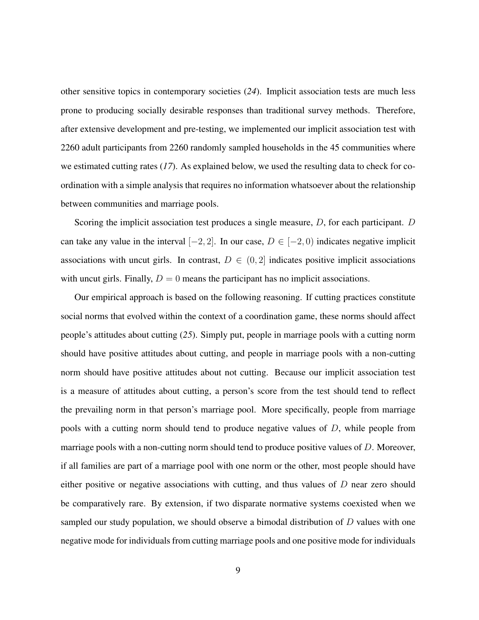other sensitive topics in contemporary societies (*24*). Implicit association tests are much less prone to producing socially desirable responses than traditional survey methods. Therefore, after extensive development and pre-testing, we implemented our implicit association test with 2260 adult participants from 2260 randomly sampled households in the 45 communities where we estimated cutting rates (*17*). As explained below, we used the resulting data to check for coordination with a simple analysis that requires no information whatsoever about the relationship between communities and marriage pools.

Scoring the implicit association test produces a single measure, D, for each participant. D can take any value in the interval  $[-2, 2]$ . In our case,  $D \in [-2, 0)$  indicates negative implicit associations with uncut girls. In contrast,  $D \in (0, 2]$  indicates positive implicit associations with uncut girls. Finally,  $D = 0$  means the participant has no implicit associations.

Our empirical approach is based on the following reasoning. If cutting practices constitute social norms that evolved within the context of a coordination game, these norms should affect people's attitudes about cutting (*25*). Simply put, people in marriage pools with a cutting norm should have positive attitudes about cutting, and people in marriage pools with a non-cutting norm should have positive attitudes about not cutting. Because our implicit association test is a measure of attitudes about cutting, a person's score from the test should tend to reflect the prevailing norm in that person's marriage pool. More specifically, people from marriage pools with a cutting norm should tend to produce negative values of D, while people from marriage pools with a non-cutting norm should tend to produce positive values of D. Moreover, if all families are part of a marriage pool with one norm or the other, most people should have either positive or negative associations with cutting, and thus values of  $D$  near zero should be comparatively rare. By extension, if two disparate normative systems coexisted when we sampled our study population, we should observe a bimodal distribution of D values with one negative mode for individuals from cutting marriage pools and one positive mode for individuals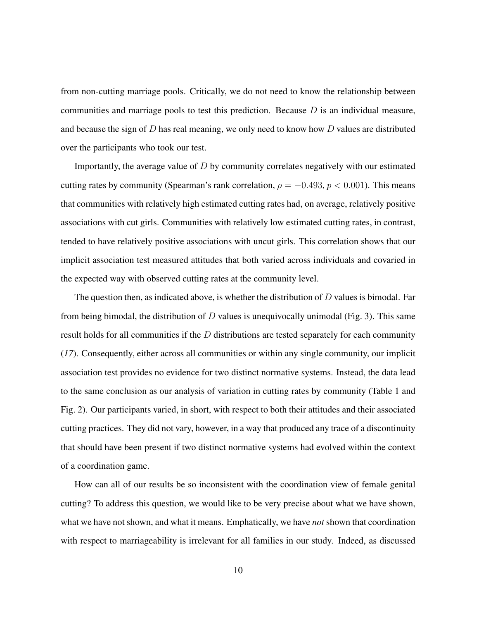from non-cutting marriage pools. Critically, we do not need to know the relationship between communities and marriage pools to test this prediction. Because  $D$  is an individual measure, and because the sign of  $D$  has real meaning, we only need to know how  $D$  values are distributed over the participants who took our test.

Importantly, the average value of D by community correlates negatively with our estimated cutting rates by community (Spearman's rank correlation,  $\rho = -0.493$ ,  $p < 0.001$ ). This means that communities with relatively high estimated cutting rates had, on average, relatively positive associations with cut girls. Communities with relatively low estimated cutting rates, in contrast, tended to have relatively positive associations with uncut girls. This correlation shows that our implicit association test measured attitudes that both varied across individuals and covaried in the expected way with observed cutting rates at the community level.

The question then, as indicated above, is whether the distribution of  $D$  values is bimodal. Far from being bimodal, the distribution of  $D$  values is unequivocally unimodal (Fig. 3). This same result holds for all communities if the D distributions are tested separately for each community (*17*). Consequently, either across all communities or within any single community, our implicit association test provides no evidence for two distinct normative systems. Instead, the data lead to the same conclusion as our analysis of variation in cutting rates by community (Table 1 and Fig. 2). Our participants varied, in short, with respect to both their attitudes and their associated cutting practices. They did not vary, however, in a way that produced any trace of a discontinuity that should have been present if two distinct normative systems had evolved within the context of a coordination game.

How can all of our results be so inconsistent with the coordination view of female genital cutting? To address this question, we would like to be very precise about what we have shown, what we have not shown, and what it means. Emphatically, we have *not* shown that coordination with respect to marriageability is irrelevant for all families in our study. Indeed, as discussed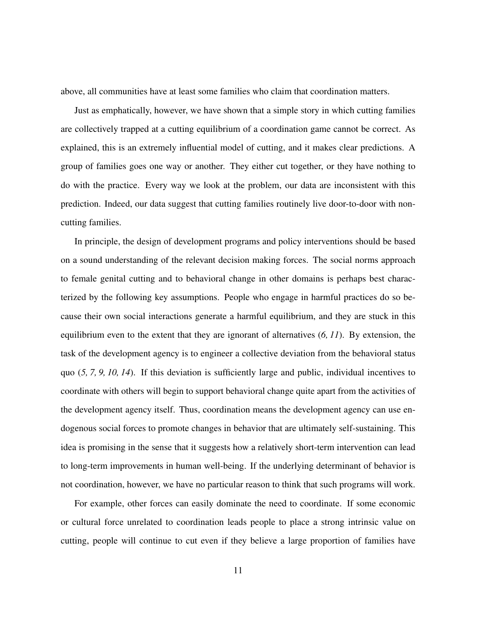above, all communities have at least some families who claim that coordination matters.

Just as emphatically, however, we have shown that a simple story in which cutting families are collectively trapped at a cutting equilibrium of a coordination game cannot be correct. As explained, this is an extremely influential model of cutting, and it makes clear predictions. A group of families goes one way or another. They either cut together, or they have nothing to do with the practice. Every way we look at the problem, our data are inconsistent with this prediction. Indeed, our data suggest that cutting families routinely live door-to-door with noncutting families.

In principle, the design of development programs and policy interventions should be based on a sound understanding of the relevant decision making forces. The social norms approach to female genital cutting and to behavioral change in other domains is perhaps best characterized by the following key assumptions. People who engage in harmful practices do so because their own social interactions generate a harmful equilibrium, and they are stuck in this equilibrium even to the extent that they are ignorant of alternatives (*6, 11*). By extension, the task of the development agency is to engineer a collective deviation from the behavioral status quo (*5, 7, 9, 10, 14*). If this deviation is sufficiently large and public, individual incentives to coordinate with others will begin to support behavioral change quite apart from the activities of the development agency itself. Thus, coordination means the development agency can use endogenous social forces to promote changes in behavior that are ultimately self-sustaining. This idea is promising in the sense that it suggests how a relatively short-term intervention can lead to long-term improvements in human well-being. If the underlying determinant of behavior is not coordination, however, we have no particular reason to think that such programs will work.

For example, other forces can easily dominate the need to coordinate. If some economic or cultural force unrelated to coordination leads people to place a strong intrinsic value on cutting, people will continue to cut even if they believe a large proportion of families have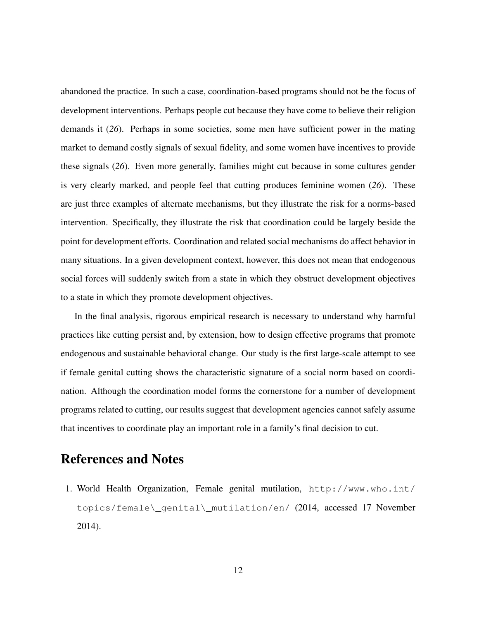abandoned the practice. In such a case, coordination-based programs should not be the focus of development interventions. Perhaps people cut because they have come to believe their religion demands it (*26*). Perhaps in some societies, some men have sufficient power in the mating market to demand costly signals of sexual fidelity, and some women have incentives to provide these signals (*26*). Even more generally, families might cut because in some cultures gender is very clearly marked, and people feel that cutting produces feminine women (*26*). These are just three examples of alternate mechanisms, but they illustrate the risk for a norms-based intervention. Specifically, they illustrate the risk that coordination could be largely beside the point for development efforts. Coordination and related social mechanisms do affect behavior in many situations. In a given development context, however, this does not mean that endogenous social forces will suddenly switch from a state in which they obstruct development objectives to a state in which they promote development objectives.

In the final analysis, rigorous empirical research is necessary to understand why harmful practices like cutting persist and, by extension, how to design effective programs that promote endogenous and sustainable behavioral change. Our study is the first large-scale attempt to see if female genital cutting shows the characteristic signature of a social norm based on coordination. Although the coordination model forms the cornerstone for a number of development programs related to cutting, our results suggest that development agencies cannot safely assume that incentives to coordinate play an important role in a family's final decision to cut.

## References and Notes

1. World Health Organization, Female genital mutilation, http://www.who.int/ topics/female\\_genital\\_mutilation/en/ (2014, accessed 17 November 2014).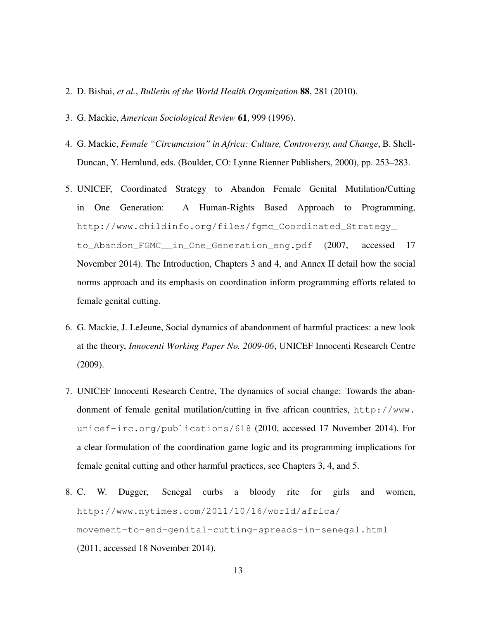- 2. D. Bishai, *et al.*, *Bulletin of the World Health Organization* 88, 281 (2010).
- 3. G. Mackie, *American Sociological Review* 61, 999 (1996).
- 4. G. Mackie, *Female "Circumcision" in Africa: Culture, Controversy, and Change*, B. Shell-Duncan, Y. Hernlund, eds. (Boulder, CO: Lynne Rienner Publishers, 2000), pp. 253–283.
- 5. UNICEF, Coordinated Strategy to Abandon Female Genital Mutilation/Cutting in One Generation: A Human-Rights Based Approach to Programming, http://www.childinfo.org/files/fgmc\_Coordinated\_Strategy\_ to\_Abandon\_FGMC\_\_in\_One\_Generation\_eng.pdf (2007, accessed 17 November 2014). The Introduction, Chapters 3 and 4, and Annex II detail how the social norms approach and its emphasis on coordination inform programming efforts related to female genital cutting.
- 6. G. Mackie, J. LeJeune, Social dynamics of abandonment of harmful practices: a new look at the theory, *Innocenti Working Paper No. 2009-06*, UNICEF Innocenti Research Centre (2009).
- 7. UNICEF Innocenti Research Centre, The dynamics of social change: Towards the abandonment of female genital mutilation/cutting in five african countries, http://www. unicef-irc.org/publications/618 (2010, accessed 17 November 2014). For a clear formulation of the coordination game logic and its programming implications for female genital cutting and other harmful practices, see Chapters 3, 4, and 5.
- 8. C. W. Dugger, Senegal curbs a bloody rite for girls and women, http://www.nytimes.com/2011/10/16/world/africa/ movement-to-end-genital-cutting-spreads-in-senegal.html (2011, accessed 18 November 2014).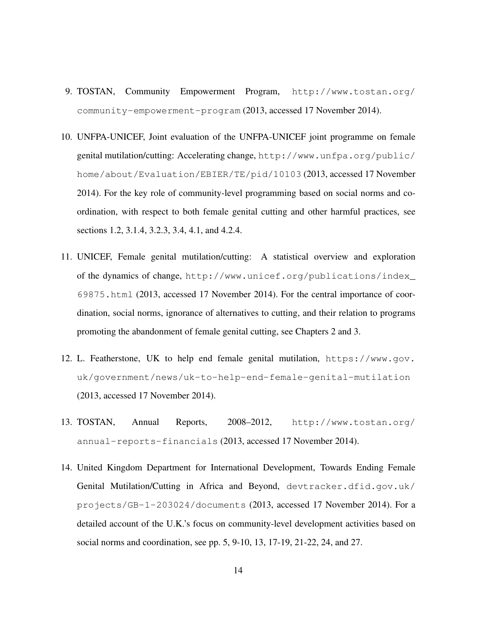- 9. TOSTAN, Community Empowerment Program, http://www.tostan.org/ community-empowerment-program (2013, accessed 17 November 2014).
- 10. UNFPA-UNICEF, Joint evaluation of the UNFPA-UNICEF joint programme on female genital mutilation/cutting: Accelerating change, http://www.unfpa.org/public/ home/about/Evaluation/EBIER/TE/pid/10103 (2013, accessed 17 November 2014). For the key role of community-level programming based on social norms and coordination, with respect to both female genital cutting and other harmful practices, see sections 1.2, 3.1.4, 3.2.3, 3.4, 4.1, and 4.2.4.
- 11. UNICEF, Female genital mutilation/cutting: A statistical overview and exploration of the dynamics of change, http://www.unicef.org/publications/index\_ 69875.html (2013, accessed 17 November 2014). For the central importance of coordination, social norms, ignorance of alternatives to cutting, and their relation to programs promoting the abandonment of female genital cutting, see Chapters 2 and 3.
- 12. L. Featherstone, UK to help end female genital mutilation, https://www.gov. uk/government/news/uk-to-help-end-female-genital-mutilation (2013, accessed 17 November 2014).
- 13. TOSTAN, Annual Reports, 2008–2012, http://www.tostan.org/ annual-reports-financials (2013, accessed 17 November 2014).
- 14. United Kingdom Department for International Development, Towards Ending Female Genital Mutilation/Cutting in Africa and Beyond, devtracker.dfid.gov.uk/ projects/GB-1-203024/documents (2013, accessed 17 November 2014). For a detailed account of the U.K.'s focus on community-level development activities based on social norms and coordination, see pp. 5, 9-10, 13, 17-19, 21-22, 24, and 27.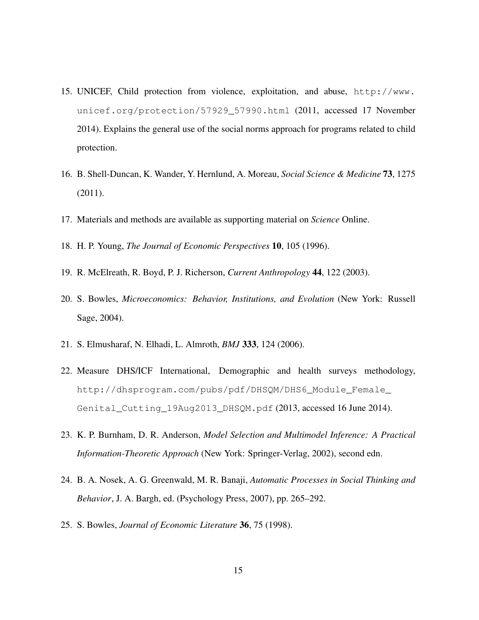- 15. UNICEF, Child protection from violence, exploitation, and abuse, http://www. unicef.org/protection/57929\_57990.html (2011, accessed 17 November 2014). Explains the general use of the social norms approach for programs related to child protection.
- 16. B. Shell-Duncan, K. Wander, Y. Hernlund, A. Moreau, *Social Science & Medicine* 73, 1275 (2011).
- 17. Materials and methods are available as supporting material on *Science* Online.
- 18. H. P. Young, *The Journal of Economic Perspectives* 10, 105 (1996).
- 19. R. McElreath, R. Boyd, P. J. Richerson, *Current Anthropology* 44, 122 (2003).
- 20. S. Bowles, *Microeconomics: Behavior, Institutions, and Evolution* (New York: Russell Sage, 2004).
- 21. S. Elmusharaf, N. Elhadi, L. Almroth, *BMJ* 333, 124 (2006).
- 22. Measure DHS/ICF International, Demographic and health surveys methodology, http://dhsprogram.com/pubs/pdf/DHSQM/DHS6\_Module\_Female\_ Genital\_Cutting\_19Aug2013\_DHSQM.pdf (2013, accessed 16 June 2014).
- 23. K. P. Burnham, D. R. Anderson, *Model Selection and Multimodel Inference: A Practical Information-Theoretic Approach* (New York: Springer-Verlag, 2002), second edn.
- 24. B. A. Nosek, A. G. Greenwald, M. R. Banaji, *Automatic Processes in Social Thinking and Behavior*, J. A. Bargh, ed. (Psychology Press, 2007), pp. 265–292.
- 25. S. Bowles, *Journal of Economic Literature* 36, 75 (1998).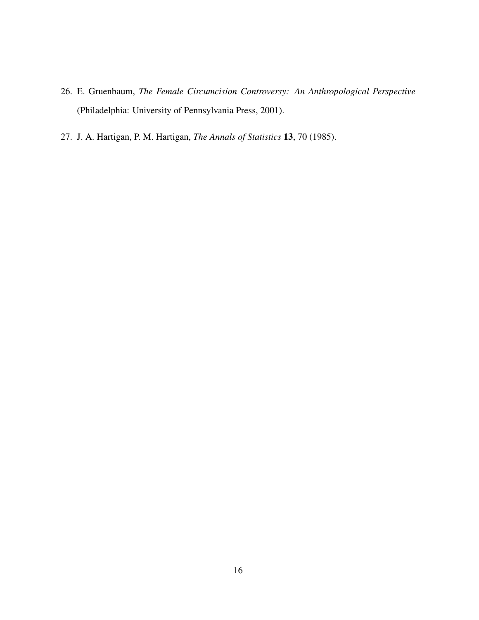- 26. E. Gruenbaum, *The Female Circumcision Controversy: An Anthropological Perspective* (Philadelphia: University of Pennsylvania Press, 2001).
- 27. J. A. Hartigan, P. M. Hartigan, *The Annals of Statistics* 13, 70 (1985).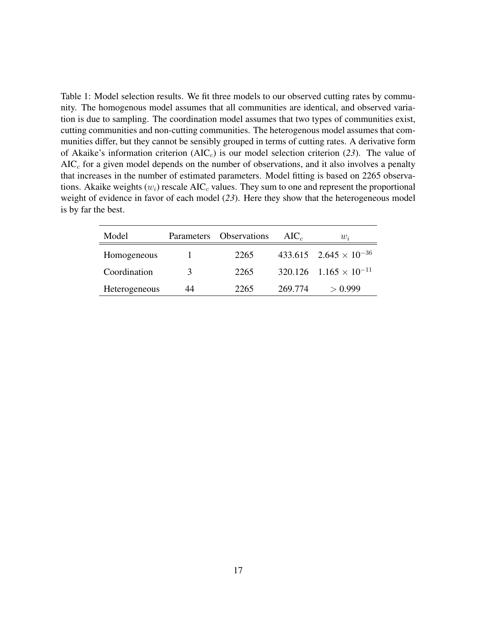Table 1: Model selection results. We fit three models to our observed cutting rates by community. The homogenous model assumes that all communities are identical, and observed variation is due to sampling. The coordination model assumes that two types of communities exist, cutting communities and non-cutting communities. The heterogenous model assumes that communities differ, but they cannot be sensibly grouped in terms of cutting rates. A derivative form of Akaike's information criterion  $(AIC<sub>c</sub>)$  is our model selection criterion (23). The value of  $AIC<sub>c</sub>$  for a given model depends on the number of observations, and it also involves a penalty that increases in the number of estimated parameters. Model fitting is based on 2265 observations. Akaike weights  $(w_i)$  rescale AIC<sub>c</sub> values. They sum to one and represent the proportional weight of evidence in favor of each model (*23*). Here they show that the heterogeneous model is by far the best.

| Model         | Parameters | Observations | $AIC_{c}$ | $w_i$                                      |
|---------------|------------|--------------|-----------|--------------------------------------------|
| Homogeneous   |            | 2265         |           | $433.615$ $2.645 \times 10^{-36}$          |
| Coordination  | 3          | 2265         |           | $320.126$ 1.165 $\times$ 10 <sup>-11</sup> |
| Heterogeneous | 44         | 2265         | 269.774   | > 0.999                                    |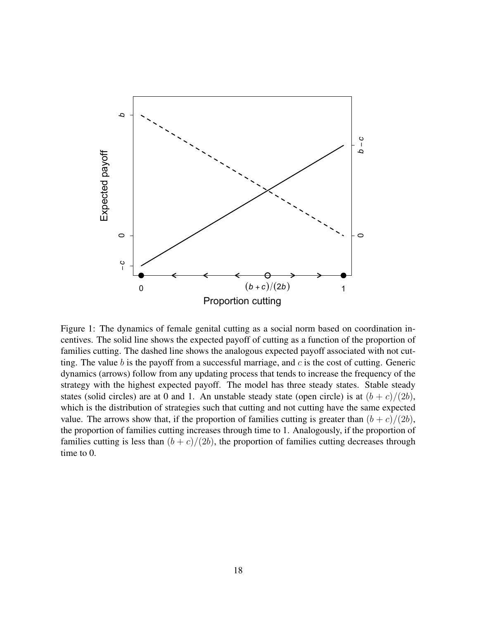

Figure 1: The dynamics of female genital cutting as a social norm based on coordination incentives. The solid line shows the expected payoff of cutting as a function of the proportion of families cutting. The dashed line shows the analogous expected payoff associated with not cutting. The value  $b$  is the payoff from a successful marriage, and  $c$  is the cost of cutting. Generic dynamics (arrows) follow from any updating process that tends to increase the frequency of the strategy with the highest expected payoff. The model has three steady states. Stable steady states (solid circles) are at 0 and 1. An unstable steady state (open circle) is at  $(b + c)/(2b)$ , which is the distribution of strategies such that cutting and not cutting have the same expected value. The arrows show that, if the proportion of families cutting is greater than  $(b + c)/(2b)$ , the proportion of families cutting increases through time to 1. Analogously, if the proportion of families cutting is less than  $(b + c)/(2b)$ , the proportion of families cutting decreases through time to 0.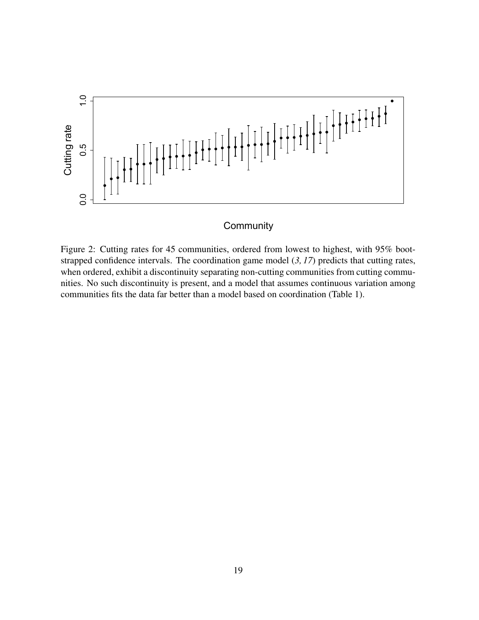

## **Community**

Figure 2: Cutting rates for 45 communities, ordered from lowest to highest, with 95% bootstrapped confidence intervals. The coordination game model (*3, 17*) predicts that cutting rates, when ordered, exhibit a discontinuity separating non-cutting communities from cutting communities. No such discontinuity is present, and a model that assumes continuous variation among communities fits the data far better than a model based on coordination (Table 1).